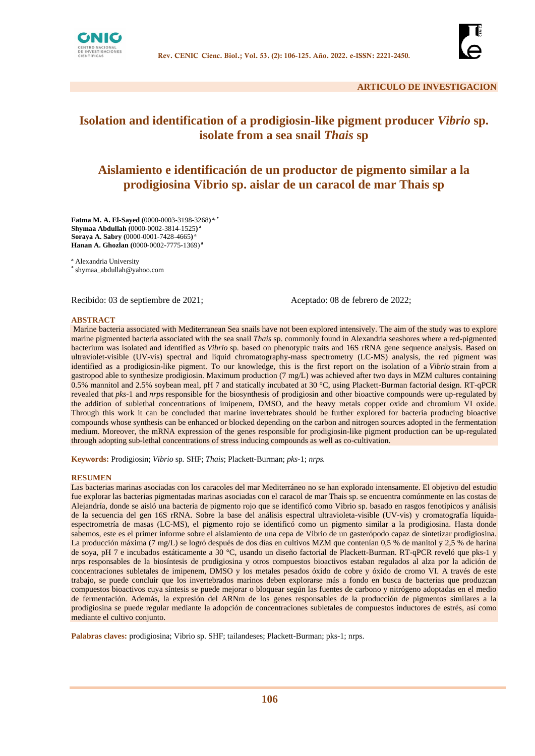



# **Isolation and identification of a prodigiosin-like pigment producer** *Vibrio* **sp. isolate from a sea snail** *Thais* **sp**

# **Aislamiento e identificación de un productor de pigmento similar a la prodigiosina Vibrio sp. aislar de un caracol de mar Thais sp**

**Fatma M. A. El-Sayed (**0000-0003-3198-3268**) a, \* Shymaa Abdullah (**0000-0002-3814-1525**) a Soraya A. Sabry (**0000-0001-7428-4665**) a Hanan A. Ghozlan (**0000-0002-7775-1369) **a**

**<sup>a</sup>** Alexandria University

**\*** shymaa\_abdullah@yahoo.com

Recibido: 03 de septiembre de 2021; Aceptado: 08 de febrero de 2022;

#### **ABSTRACT**

Marine bacteria associated with Mediterranean Sea snails have not been explored intensively. The aim of the study was to explore marine pigmented bacteria associated with the sea snail *Thais* sp. commonly found in Alexandria seashores where a red-pigmented bacterium was isolated and identified as *Vibrio* sp. based on phenotypic traits and 16S rRNA gene sequence analysis. Based on ultraviolet-visible (UV-vis) spectral and liquid chromatography-mass spectrometry (LC-MS) analysis, the red pigment was identified as a prodigiosin-like pigment. To our knowledge, this is the first report on the isolation of a *Vibrio* strain from a gastropod able to synthesize prodigiosin. Maximum production (7 mg/L) was achieved after two days in MZM cultures containing 0.5% mannitol and 2.5% soybean meal, pH 7 and statically incubated at 30 °C, using Plackett-Burman factorial design. RT-qPCR revealed that *pks*-1 and *nrps* responsible for the biosynthesis of prodigiosin and other bioactive compounds were up-regulated by the addition of sublethal concentrations of imipenem, DMSO, and the heavy metals copper oxide and chromium VI oxide. Through this work it can be concluded that marine invertebrates should be further explored for bacteria producing bioactive compounds whose synthesis can be enhanced or blocked depending on the carbon and nitrogen sources adopted in the fermentation medium. Moreover, the mRNA expression of the genes responsible for prodigiosin-like pigment production can be up-regulated through adopting sub-lethal concentrations of stress inducing compounds as well as co-cultivation.

**Keywords:** Prodigiosin; *Vibrio* sp*.* SHF; *Thais*; Plackett-Burman; *pks*-1; *nrps.*

#### **RESUMEN**

Las bacterias marinas asociadas con los caracoles del mar Mediterráneo no se han explorado intensamente. El objetivo del estudio fue explorar las bacterias pigmentadas marinas asociadas con el caracol de mar Thais sp. se encuentra comúnmente en las costas de Alejandría, donde se aisló una bacteria de pigmento rojo que se identificó como Vibrio sp. basado en rasgos fenotípicos y análisis de la secuencia del gen 16S rRNA. Sobre la base del análisis espectral ultravioleta-visible (UV-vis) y cromatografía líquidaespectrometría de masas (LC-MS), el pigmento rojo se identificó como un pigmento similar a la prodigiosina. Hasta donde sabemos, este es el primer informe sobre el aislamiento de una cepa de Vibrio de un gasterópodo capaz de sintetizar prodigiosina. La producción máxima (7 mg/L) se logró después de dos días en cultivos MZM que contenían 0,5 % de manitol y 2,5 % de harina de soya, pH 7 e incubados estáticamente a 30 °C, usando un diseño factorial de Plackett-Burman. RT-qPCR reveló que pks-1 y nrps responsables de la biosíntesis de prodigiosina y otros compuestos bioactivos estaban regulados al alza por la adición de concentraciones subletales de imipenem, DMSO y los metales pesados óxido de cobre y óxido de cromo VI. A través de este trabajo, se puede concluir que los invertebrados marinos deben explorarse más a fondo en busca de bacterias que produzcan compuestos bioactivos cuya síntesis se puede mejorar o bloquear según las fuentes de carbono y nitrógeno adoptadas en el medio de fermentación. Además, la expresión del ARNm de los genes responsables de la producción de pigmentos similares a la prodigiosina se puede regular mediante la adopción de concentraciones subletales de compuestos inductores de estrés, así como mediante el cultivo conjunto.

**Palabras claves:** prodigiosina; Vibrio sp. SHF; tailandeses; Plackett-Burman; pks-1; nrps.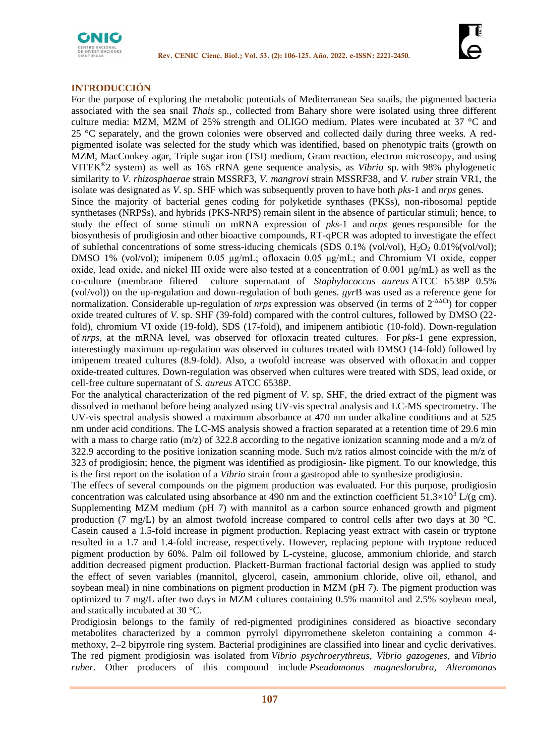

## **INTRODUCCIÓN**

For the purpose of exploring the metabolic potentials of Mediterranean Sea snails, the pigmented bacteria associated with the sea snail *Thais* sp., collected from Bahary shore were isolated using three different culture media: MZM, MZM of 25% strength and OLIGO medium. Plates were incubated at 37 °C and 25 °C separately, and the grown colonies were observed and collected daily during three weeks. A redpigmented isolate was selected for the study which was identified, based on phenotypic traits (growth on MZM, MacConkey agar, Triple sugar iron (TSI) medium, Gram reaction, electron microscopy, and using VITEK® 2 system) as well as 16S rRNA gene sequence analysis, as *Vibrio* sp. with 98% phylogenetic similarity to *V. rhizosphaerae* strain MSSRF3*, V. mangrovi* strain MSSRF38, and *V. ruber* strain VR1, the isolate was designated as *V*. sp. SHF which was subsequently proven to have both *pks*-1 and *nrps* genes. Since the majority of bacterial genes coding for polyketide synthases (PKSs), non-ribosomal peptide synthetases (NRPSs), and hybrids (PKS-NRPS) remain silent in the absence of particular stimuli; hence, to study the effect of some stimuli on mRNA expression of *pks*-1 and *nrps* genes responsible for the biosynthesis of prodigiosin and other bioactive compounds, RT-qPCR was adopted to investigate the effect of sublethal concentrations of some stress-iducing chemicals (SDS  $0.1\%$  (vol/vol),  $H_2O_2$   $0.01\%$ (vol/vol); DMSO 1% (vol/vol); imipenem 0.05 μg/mL; ofloxacin 0.05 μg/mL; and Chromium VI oxide, copper oxide, lead oxide, and nickel III oxide were also tested at a concentration of  $0.001 \mu g/mL$  as well as the co-culture (membrane filtered culture supernatant of *Staphylococcus aureus* ATCC 6538P 0.5% (vol/vol)) on the up-regulation and down-regulation of both genes. *gyr*B was used as a reference gene for normalization. Considerable up-regulation of *nrps* expression was observed (in terms of 2-ΔΔCt) for copper oxide treated cultures of *V.* sp. SHF (39-fold) compared with the control cultures, followed by DMSO (22 fold), chromium VI oxide (19-fold), SDS (17-fold), and imipenem antibiotic (10-fold). Down-regulation of *nrps*, at the mRNA level, was observed for ofloxacin treated cultures. For *pks*-1 gene expression, interestingly maximum up-regulation was observed in cultures treated with DMSO (14-fold) followed by imipenem treated cultures (8.9-fold). Also, a twofold increase was observed with ofloxacin and copper oxide-treated cultures. Down-regulation was observed when cultures were treated with SDS, lead oxide, or cell-free culture supernatant of *S. aureus* ATCC 6538P.

For the analytical characterization of the red pigment of *V*. sp. SHF, the dried extract of the pigment was dissolved in methanol before being analyzed using UV-vis spectral analysis and LC-MS spectrometry. The UV-vis spectral analysis showed a maximum absorbance at 470 nm under alkaline conditions and at 525 nm under acid conditions. The LC-MS analysis showed a fraction separated at a retention time of 29.6 min with a mass to charge ratio (m/z) of 322.8 according to the negative ionization scanning mode and a m/z of 322.9 according to the positive ionization scanning mode. Such m/z ratios almost coincide with the m/z of 323 of prodigiosin; hence, the pigment was identified as prodigiosin- like pigment. To our knowledge, this is the first report on the isolation of a *Vibrio* strain from a gastropod able to synthesize prodigiosin.

The effecs of several compounds on the pigment production was evaluated. For this purpose, prodigiosin concentration was calculated using absorbance at 490 nm and the extinction coefficient  $51.3\times10^3$  L/(g cm). Supplementing MZM medium (pH 7) with mannitol as a carbon source enhanced growth and pigment production (7 mg/L) by an almost twofold increase compared to control cells after two days at 30  $^{\circ}$ C. Casein caused a 1.5-fold increase in pigment production. Replacing yeast extract with casein or tryptone resulted in a 1.7 and 1.4-fold increase, respectively. However, replacing peptone with tryptone reduced pigment production by 60%. Palm oil followed by L-cysteine, glucose, ammonium chloride, and starch addition decreased pigment production. Plackett-Burman fractional factorial design was applied to study the effect of seven variables (mannitol, glycerol, casein, ammonium chloride, olive oil, ethanol, and soybean meal) in nine combinations on pigment production in MZM (pH 7). The pigment production was optimized to 7 mg/L after two days in MZM cultures containing 0.5% mannitol and 2.5% soybean meal, and statically incubated at 30 °C.

Prodigiosin belongs to the family of red-pigmented prodiginines considered as bioactive secondary metabolites characterized by a common pyrrolyl dipyrromethene skeleton containing a common 4 methoxy, 2–2 bipyrrole ring system. Bacterial prodiginines are classified into linear and cyclic derivatives. The red pigment prodigiosin was isolated from *Vibrio psychroerythreus, Vibrio gazogenes*, and *Vibrio ruber*. Other producers of this compound include *Pseudomonas magneslorubra, Alteromonas*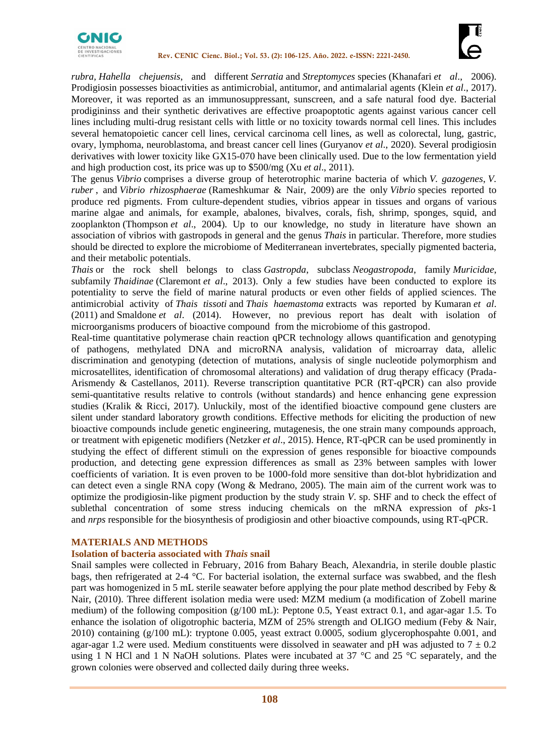



*rubra, Hahella chejuensis*, and different *Serratia* and *Streptomyces* species (Khanafari *et al*., 2006). Prodigiosin possesses bioactivities as antimicrobial, antitumor, and antimalarial agents (Klein *et al*., 2017). Moreover, it was reported as an immunosuppressant, sunscreen, and a safe natural food dye. Bacterial prodigininss and their synthetic derivatives are effective proapoptotic agents against various cancer cell lines including multi-drug resistant cells with little or no toxicity towards normal cell lines. This includes several hematopoietic cancer cell lines, cervical carcinoma cell lines, as well as colorectal, lung, gastric, ovary, lymphoma, neuroblastoma, and breast cancer cell lines (Guryanov *et al*., 2020). Several prodigiosin derivatives with lower toxicity like GX15-070 have been clinically used. Due to the low fermentation yield and high production cost, its price was up to \$500/mg (Xu *et al*., 2011).

The genus *Vibrio* comprises a diverse group of heterotrophic marine bacteria of which *V. gazogenes*, *V. ruber* , and *Vibrio rhizosphaerae* (Rameshkumar & Nair, 2009) are the only *Vibrio* species reported to produce red pigments. From culture-dependent studies, vibrios appear in tissues and organs of various marine algae and animals, for example, abalones, bivalves, corals, fish, shrimp, sponges, squid, and zooplankton (Thompson *et al*., 2004). Up to our knowledge, no study in literature have shown an association of vibrios with gastropods in general and the genus *Thais* in particular. Therefore, more studies should be directed to explore the microbiome of Mediterranean invertebrates, specially pigmented bacteria, and their metabolic potentials.

*Thais* or the rock shell belongs to class *Gastropda*, subclass *Neogastropoda*, family *Muricidae*, subfamily *Thaidinae* (Claremont *et al*., 2013). Only a few studies have been conducted to explore its potentiality to serve the field of marine natural products or even other fields of applied sciences. The antimicrobial activity of *Thais tissoti* and *Thais haemastoma* extracts was reported by Kumaran *et al*. (2011) and Smaldone *et al*. (2014). However, no previous report has dealt with isolation of microorganisms producers of bioactive compound from the microbiome of this gastropod.

Real-time quantitative polymerase chain reaction qPCR technology allows quantification and genotyping of pathogens, methylated DNA and microRNA analysis, validation of microarray data, allelic discrimination and genotyping (detection of mutations, analysis of single nucleotide polymorphism and microsatellites, identification of chromosomal alterations) and validation of drug therapy efficacy (Prada-Arismendy & Castellanos, 2011). Reverse transcription quantitative PCR (RT-qPCR) can also provide semi-quantitative results relative to controls (without standards) and hence enhancing gene expression studies [\(Kralik & Ricci, 2017\)](https://www.frontiersin.org/articles/10.3389/fmicb.2017.00108/full#B14). Unluckily, most of the identified bioactive compound gene clusters are silent under standard laboratory growth conditions. Effective methods for eliciting the production of new bioactive compounds include genetic engineering, mutagenesis, the one strain many compounds approach, or treatment with epigenetic modifiers (Netzker *et al*., 2015). Hence, RT-qPCR can be used prominently in studying the effect of different stimuli on the expression of genes responsible for bioactive compounds production, and detecting gene expression differences as small as 23% between samples with lower coefficients of variation. It is even proven to be 1000-fold more sensitive than dot-blot hybridization and can detect even a single RNA copy (Wong & Medrano, 2005). The main aim of the current work was to optimize the prodigiosin-like pigment production by the study strain *V*. sp. SHF and to check the effect of sublethal concentration of some stress inducing chemicals on the mRNA expression of *pks*-1 and *nrps* responsible for the biosynthesis of prodigiosin and other bioactive compounds, using RT-qPCR.

### **MATERIALS AND METHODS**

### **Isolation of bacteria associated with** *Thais* **snail**

Snail samples were collected in February, 2016 from Bahary Beach, Alexandria, in sterile double plastic bags, then refrigerated at 2-4 °C. For bacterial isolation, the external surface was swabbed, and the flesh part was homogenized in 5 mL sterile seawater before applying the pour plate method described by Feby & Nair, (2010). Three different isolation media were used: MZM medium (a modification of Zobell marine medium) of the following composition (g/100 mL): Peptone 0.5, Yeast extract 0.1, and agar-agar 1.5. To enhance the isolation of oligotrophic bacteria, MZM of 25% strength and OLIGO medium (Feby & Nair, 2010) containing (g/100 mL): tryptone 0.005, yeast extract 0.0005, sodium glycerophospahte 0.001, and agar-agar 1.2 were used. Medium constituents were dissolved in seawater and pH was adjusted to  $7 \pm 0.2$ using 1 N HCl and 1 N NaOH solutions. Plates were incubated at 37  $\degree$ C and 25  $\degree$ C separately, and the grown colonies were observed and collected daily during three weeks**.**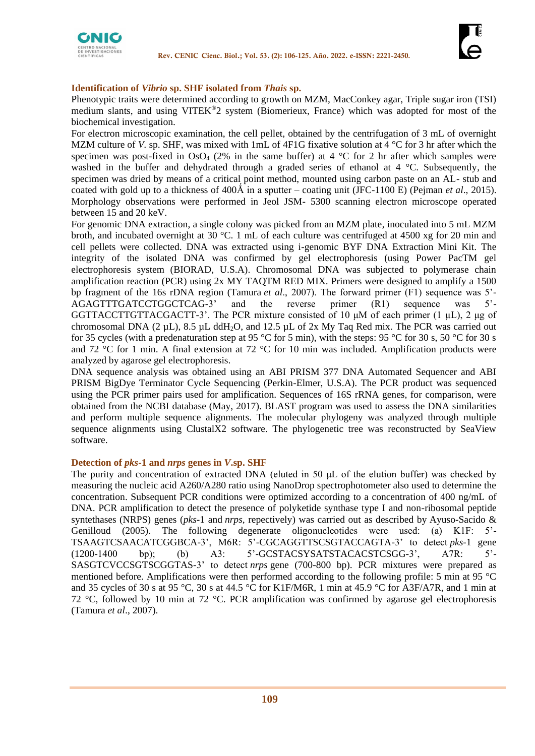

### **Identification of** *Vibrio* **sp. SHF isolated from** *Thais* **sp.**

Phenotypic traits were determined according to growth on MZM, MacConkey agar, Triple sugar iron (TSI) medium slants, and using VITEK®2 system (Biomerieux, France) which was adopted for most of the biochemical investigation.

For electron microscopic examination, the cell pellet, obtained by the centrifugation of 3 mL of overnight MZM culture of *V*. sp. SHF, was mixed with 1mL of 4F1G fixative solution at 4 °C for 3 hr after which the specimen was post-fixed in  $OsO<sub>4</sub>$  (2% in the same buffer) at 4 °C for 2 hr after which samples were washed in the buffer and dehydrated through a graded series of ethanol at 4 °C. Subsequently, the specimen was dried by means of a critical point method, mounted using carbon paste on an AL- stub and coated with gold up to a thickness of 400Å in a sputter – coating unit (JFC-1100 E) (Pejman *et al.*, 2015). Morphology observations were performed in Jeol JSM- 5300 scanning electron microscope operated between 15 and 20 keV.

For genomic DNA extraction, a single colony was picked from an MZM plate, inoculated into 5 mL MZM broth, and incubated overnight at 30 °C. 1 mL of each culture was centrifuged at 4500 xg for 20 min and cell pellets were collected. DNA was extracted using i-genomic BYF DNA Extraction Mini Kit. The integrity of the isolated DNA was confirmed by gel electrophoresis (using Power PacTM gel electrophoresis system (BIORAD, U.S.A). Chromosomal DNA was subjected to polymerase chain amplification reaction (PCR) using 2x MY TAQTM RED MIX. Primers were designed to amplify a 1500 bp fragment of the 16s rDNA region (Tamura *et al*., 2007). The forward primer (F1) sequence was 5'- AGAGTTTGATCCTGGCTCAG-3' and the reverse primer (R1) sequence was 5'- GGTTACCTTGTTACGACTT-3'. The PCR mixture consisted of 10 μM of each primer (1 µL), 2 μg of chromosomal DNA (2  $\mu$ L), 8.5  $\mu$ L ddH<sub>2</sub>O, and 12.5  $\mu$ L of 2x My Taq Red mix. The PCR was carried out for 35 cycles (with a predenaturation step at 95 °C for 5 min), with the steps: 95 °C for 30 s, 50 °C for 30 s and 72 °C for 1 min. A final extension at 72 °C for 10 min was included. Amplification products were analyzed by agarose gel electrophoresis.

DNA sequence analysis was obtained using an ABI PRISM 377 DNA Automated Sequencer and ABI PRISM BigDye Terminator Cycle Sequencing (Perkin-Elmer, U.S.A). The PCR product was sequenced using the PCR primer pairs used for amplification. Sequences of 16S rRNA genes, for comparison, were obtained from the NCBI database (May, 2017). BLAST program was used to assess the DNA similarities and perform multiple sequence alignments. The molecular phylogeny was analyzed through multiple sequence alignments using ClustalX2 software. The phylogenetic tree was reconstructed by SeaView software.

### **Detection of** *pks***-1 and** *nrps* **genes in** *V***.sp. SHF**

The purity and concentration of extracted DNA (eluted in 50 μL of the elution buffer) was checked by measuring the nucleic acid A260/A280 ratio using NanoDrop spectrophotometer also used to determine the concentration. Subsequent PCR conditions were optimized according to a concentration of 400 ng/mL of DNA. PCR amplification to detect the presence of polyketide synthase type I and non-ribosomal peptide syntethases (NRPS) genes (*pks*-1 and *nrps*, repectively) was carried out as described by Ayuso-Sacido & Genilloud (2005). The following degenerate oligonucleotides were used: (a) K1F: 5'- TSAAGTCSAACATCGGBCA-3', M6R: 5'-CGCAGGTTSCSGTACCAGTA-3' to detect *pks*-1 gene (1200-1400 bp); (b) A3: 5'-GCSTACSYSATSTACACSTCSGG-3', A7R: 5'- SASGTCVCCSGTSCGGTAS-3' to detect *nrps* gene (700-800 bp). PCR mixtures were prepared as mentioned before. Amplifications were then performed according to the following profile: 5 min at 95 °C and 35 cycles of 30 s at 95 °C, 30 s at 44.5 °C for K1F/M6R, 1 min at 45.9 °C for A3F/A7R, and 1 min at 72 °C, followed by 10 min at 72 °C. PCR amplification was confirmed by agarose gel electrophoresis (Tamura *et al*., 2007).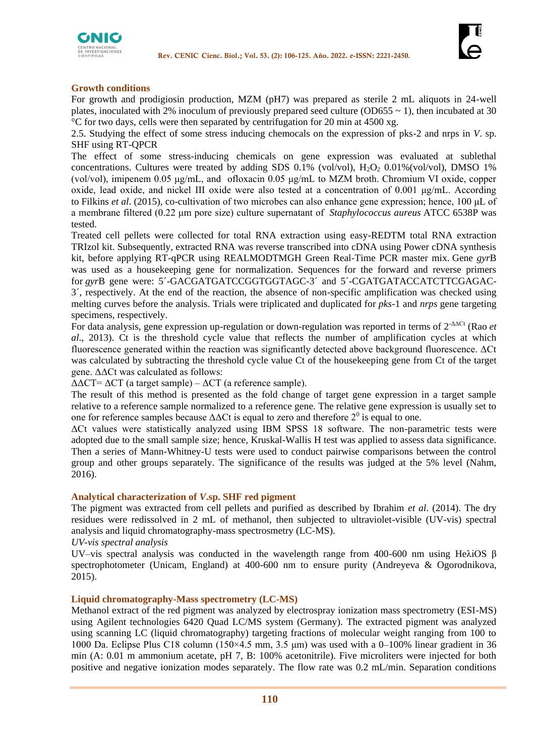



### **Growth conditions**

For growth and prodigiosin production, MZM (pH7) was prepared as sterile 2 mL aliquots in 24-well plates, inoculated with 2% inoculum of previously prepared seed culture (OD655  $\sim$  1), then incubated at 30 °C for two days, cells were then separated by centrifugation for 20 min at 4500 xg.

2.5. Studying the effect of some stress inducing chemocals on the expression of pks-2 and nrps in *V*. sp. SHF using RT-QPCR

The effect of some stress-inducing chemicals on gene expression was evaluated at sublethal concentrations. Cultures were treated by adding SDS  $0.1\%$  (vol/vol),  $H_2O_2$   $0.01\%$ (vol/vol), DMSO 1% (vol/vol), imipenem 0.05 μg/mL, and ofloxacin 0.05 μg/mL to MZM broth. Chromium VI oxide, copper oxide, lead oxide, and nickel III oxide were also tested at a concentration of 0.001 μg/mL. According to Filkins *et al*. (2015), co-cultivation of two microbes can also enhance gene expression; hence, 100 μL of a membrane filtered (0.22 μm pore size) culture supernatant of *Staphylococcus aureus* ATCC 6538P was tested.

Treated cell pellets were collected for total RNA extraction using easy-REDTM total RNA extraction TRIzol kit. Subsequently, extracted RNA was reverse transcribed into cDNA using Power cDNA synthesis kit, before applying RT-qPCR using REALMODTMGH Green Real-Time PCR master mix. Gene *gyr*B was used as a housekeeping gene for normalization. Sequences for the forward and reverse primers for *gyr*B gene were: 5´-GACGATGATCCGGTGGTAGC-3´ and 5´-CGATGATACCATCTTCGAGAC-3´, respectively. At the end of the reaction, the absence of non-specific amplification was checked using melting curves before the analysis. Trials were triplicated and duplicated for *pks*-1 and *nrps* gene targeting specimens, respectively.

For data analysis, gene expression up-regulation or down-regulation was reported in terms of 2-ΔΔCt (Rao *et al*., 2013). Ct is the threshold cycle value that reflects the number of amplification cycles at which fluorescence generated within the reaction was significantly detected above background fluorescence. ΔCt was calculated by subtracting the threshold cycle value Ct of the housekeeping gene from Ct of the target gene. ΔΔCt was calculated as follows:

 $\Delta \Delta CT = \Delta CT$  (a target sample) –  $\Delta CT$  (a reference sample).

The result of this method is presented as the fold change of target gene expression in a target sample relative to a reference sample normalized to a reference gene. The relative gene expression is usually set to one for reference samples because  $\Delta \Delta$ Ct is equal to zero and therefore  $2^0$  is equal to one.

ΔCt values were statistically analyzed using IBM SPSS 18 software. The non-parametric tests were adopted due to the small sample size; hence, Kruskal-Wallis H test was applied to assess data significance. Then a series of Mann-Whitney-U tests were used to conduct pairwise comparisons between the control group and other groups separately. The significance of the results was judged at the 5% level (Nahm, 2016).

### **Analytical characterization of** *V***.sp. SHF red pigment**

The pigment was extracted from cell pellets and purified as described by Ibrahim *et al*. (2014). The dry residues were redissolved in 2 mL of methanol, then subjected to ultraviolet-visible (UV-vis) spectral analysis and liquid chromatography-mass spectrosmetry (LC-MS).

*UV-vis spectral analysis* 

UV–vis spectral analysis was conducted in the wavelength range from 400-600 nm using HeλiOS  $β$ spectrophotometer (Unicam, England) at 400-600 nm to ensure purity (Andreyeva & Ogorodnikova, 2015).

### **Liquid chromatography-Mass spectrometry (LC-MS)**

Methanol extract of the red pigment was analyzed by electrospray ionization mass spectrometry (ESI-MS) using Agilent technologies 6420 Quad LC/MS system (Germany). The extracted pigment was analyzed using scanning LC (liquid chromatography) targeting fractions of molecular weight ranging from 100 to 1000 Da. Eclipse Plus C18 column (150×4.5 mm, 3.5 μm) was used with a 0–100% linear gradient in 36 min (A: 0.01 m ammonium acetate, pH 7, B: 100% acetonitrile). Five microliters were injected for both positive and negative ionization modes separately. The flow rate was 0.2 mL/min. Separation conditions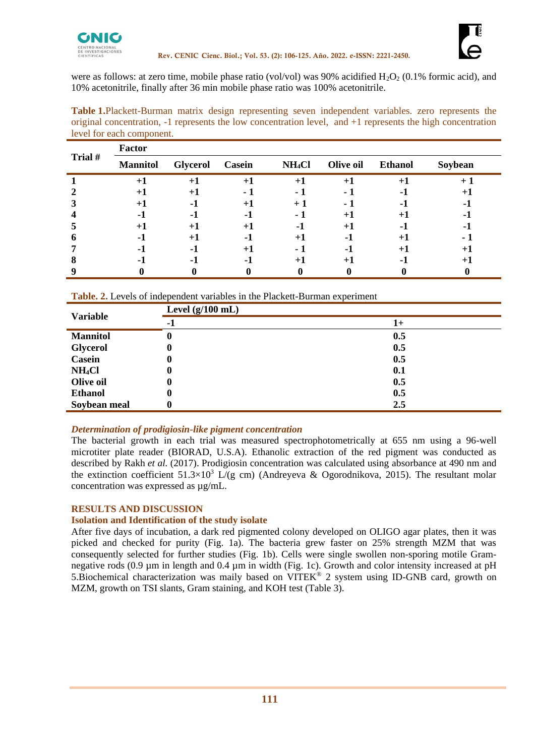

were as follows: at zero time, mobile phase ratio (vol/vol) was 90% acidified  $H_2O_2$  (0.1% formic acid), and 10% acetonitrile, finally after 36 min mobile phase ratio was 100% acetonitrile.

**Table 1.**Plackett-Burman matrix design representing seven independent variables. zero represents the original concentration, -1 represents the low concentration level, and +1 represents the high concentration level for each component.

|         | <b>Factor</b>   |          |                |                    |           |                |         |
|---------|-----------------|----------|----------------|--------------------|-----------|----------------|---------|
| Trial # | <b>Mannitol</b> | Glycerol | Casein         | NH <sub>4</sub> Cl | Olive oil | <b>Ethanol</b> | Soybean |
|         | $+1$            | $+1$     | $+1$           | $+1$               | $+1$      | $^{+1}$        |         |
|         | $+1$            | ٠.       | $\sim$         |                    |           |                | +       |
|         | $+ $            | ۰.       | $+1$           |                    |           |                |         |
|         | -1              | - 1      | -1             | - 1                | $+1$      | $+ $           |         |
|         | $+$             | $^{+}$   | $+1$           | - 1                | $+1$      |                |         |
|         | - 1             | $^{+1}$  | $\blacksquare$ |                    | .,        |                |         |
|         | - 1             | н.       | $+1$           |                    |           |                |         |
|         | ۰.              | ۰.       | - 1            |                    | $+1$      |                |         |
|         |                 |          |                |                    |           |                |         |

| <b>Variable</b>    | Level $(g/100$ mL) |      |  |  |  |
|--------------------|--------------------|------|--|--|--|
|                    | -1                 | $1+$ |  |  |  |
| <b>Mannitol</b>    | U                  | 0.5  |  |  |  |
| <b>Glycerol</b>    | U                  | 0.5  |  |  |  |
| Casein             |                    | 0.5  |  |  |  |
| NH <sub>4</sub> Cl |                    | 0.1  |  |  |  |
| Olive oil          |                    | 0.5  |  |  |  |
| <b>Ethanol</b>     | U                  | 0.5  |  |  |  |
| Soybean meal       |                    | 2.5  |  |  |  |

## *Determination of prodigiosin-like pigment concentration*

The bacterial growth in each trial was measured spectrophotometrically at 655 nm using a 96-well microtiter plate reader (BIORAD, U.S.A). Ethanolic extraction of the red pigment was conducted as described by Rakh *et al.* (2017). Prodigiosin concentration was calculated using absorbance at 490 nm and the extinction coefficient  $51.3\times10^3$  L/(g cm) (Andreyeva & Ogorodnikova, 2015). The resultant molar concentration was expressed as µg/mL.

## **RESULTS AND DISCUSSION**

### **Isolation and Identification of the study isolate**

After five days of incubation, a dark red pigmented colony developed on OLIGO agar plates, then it was picked and checked for purity (Fig. 1a). The bacteria grew faster on 25% strength MZM that was consequently selected for further studies (Fig. 1b). Cells were single swollen non-sporing motile Gramnegative rods (0.9 µm in length and 0.4 µm in width (Fig. 1c). Growth and color intensity increased at pH 5. Biochemical characterization was maily based on VITEK® 2 system using ID-GNB card, growth on MZM, growth on TSI slants, Gram staining, and KOH test (Table 3).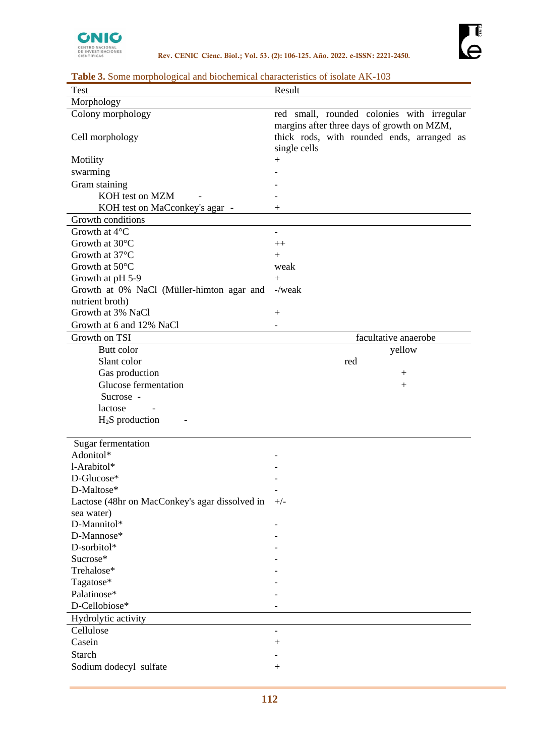

|  |  |  |  |  |  | Table 3. Some morphological and biochemical characteristics of isolate AK-103 |
|--|--|--|--|--|--|-------------------------------------------------------------------------------|
|--|--|--|--|--|--|-------------------------------------------------------------------------------|

| <b>Test</b>                                    | Result                                                                                                                                 |
|------------------------------------------------|----------------------------------------------------------------------------------------------------------------------------------------|
| Morphology                                     |                                                                                                                                        |
| Colony morphology<br>Cell morphology           | red small, rounded colonies with irregular<br>margins after three days of growth on MZM,<br>thick rods, with rounded ends, arranged as |
| Motility                                       | single cells<br>$^{+}$                                                                                                                 |
| swarming                                       |                                                                                                                                        |
| Gram staining                                  |                                                                                                                                        |
| KOH test on MZM                                |                                                                                                                                        |
| KOH test on MaCconkey's agar -                 | $^{+}$                                                                                                                                 |
| Growth conditions                              |                                                                                                                                        |
| Growth at 4°C                                  |                                                                                                                                        |
| Growth at 30°C                                 | $++$                                                                                                                                   |
| Growth at 37°C                                 | $+$                                                                                                                                    |
| Growth at 50°C                                 | weak                                                                                                                                   |
| Growth at pH 5-9                               | $^{+}$                                                                                                                                 |
| Growth at 0% NaCl (Müller-himton agar and      | $-\prime$ weak                                                                                                                         |
| nutrient broth)                                |                                                                                                                                        |
| Growth at 3% NaCl                              | $^{+}$                                                                                                                                 |
| Growth at 6 and 12% NaCl                       |                                                                                                                                        |
| Growth on TSI                                  | facultative anaerobe                                                                                                                   |
| Butt color                                     | yellow                                                                                                                                 |
| Slant color                                    | red                                                                                                                                    |
| Gas production                                 | $\hspace{0.1mm} +$                                                                                                                     |
| Glucose fermentation                           | $^{+}$                                                                                                                                 |
| Sucrose -                                      |                                                                                                                                        |
| lactose                                        |                                                                                                                                        |
| $H2S$ production                               |                                                                                                                                        |
| Sugar fermentation                             |                                                                                                                                        |
| Adonitol*                                      |                                                                                                                                        |
| l-Arabitol*                                    |                                                                                                                                        |
| D-Glucose*                                     |                                                                                                                                        |
| D-Maltose*                                     |                                                                                                                                        |
| Lactose (48hr on MacConkey's agar dissolved in | $+/-$                                                                                                                                  |
| sea water)                                     |                                                                                                                                        |
| D-Mannitol*                                    |                                                                                                                                        |
| D-Mannose*                                     |                                                                                                                                        |
| D-sorbitol*                                    |                                                                                                                                        |
| Sucrose*                                       |                                                                                                                                        |
| Trehalose*                                     |                                                                                                                                        |
| Tagatose*                                      |                                                                                                                                        |
| Palatinose*                                    |                                                                                                                                        |
| D-Cellobiose*                                  |                                                                                                                                        |
| Hydrolytic activity                            |                                                                                                                                        |
| Cellulose                                      | $\overline{\phantom{0}}$                                                                                                               |
| Casein                                         | $\hspace{0.1mm} +$                                                                                                                     |
| <b>Starch</b>                                  |                                                                                                                                        |
| Sodium dodecyl sulfate                         | $+$                                                                                                                                    |
|                                                |                                                                                                                                        |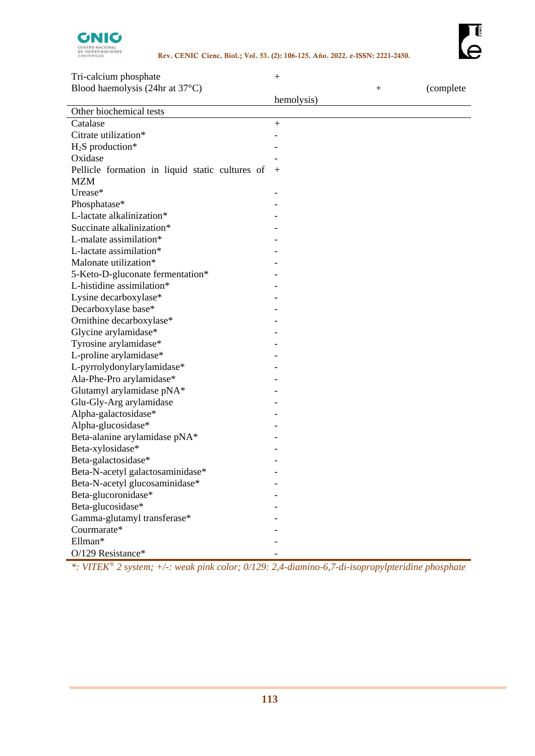

| Tri-calcium phosphate                           | $\boldsymbol{+}$         |              |            |
|-------------------------------------------------|--------------------------|--------------|------------|
| Blood haemolysis (24hr at 37°C)                 |                          | $\mathrm{+}$ | (complete) |
|                                                 | hemolysis)               |              |            |
| Other biochemical tests                         |                          |              |            |
| Catalase                                        | $+$                      |              |            |
| Citrate utilization*                            |                          |              |            |
| $H2S$ production*                               |                          |              |            |
| Oxidase                                         |                          |              |            |
| Pellicle formation in liquid static cultures of | $+$                      |              |            |
| <b>MZM</b>                                      |                          |              |            |
| Urease*                                         | $\overline{\phantom{a}}$ |              |            |
| Phosphatase*                                    |                          |              |            |
| L-lactate alkalinization*                       |                          |              |            |
| Succinate alkalinization*                       |                          |              |            |
| L-malate assimilation*                          |                          |              |            |
| L-lactate assimilation*                         |                          |              |            |
| Malonate utilization*                           |                          |              |            |
| 5-Keto-D-gluconate fermentation*                |                          |              |            |
| L-histidine assimilation*                       |                          |              |            |
| Lysine decarboxylase*                           |                          |              |            |
| Decarboxylase base*                             |                          |              |            |
| Ornithine decarboxylase*                        |                          |              |            |
| Glycine arylamidase*                            |                          |              |            |
| Tyrosine arylamidase*                           |                          |              |            |
| L-proline arylamidase*                          |                          |              |            |
| L-pyrrolydonylarylamidase*                      |                          |              |            |
| Ala-Phe-Pro arylamidase*                        |                          |              |            |
| Glutamyl arylamidase pNA*                       |                          |              |            |
| Glu-Gly-Arg arylamidase                         |                          |              |            |
| Alpha-galactosidase*                            |                          |              |            |
| Alpha-glucosidase*                              |                          |              |            |
| Beta-alanine arylamidase pNA*                   |                          |              |            |
| Beta-xylosidase*                                |                          |              |            |
| Beta-galactosidase*                             |                          |              |            |
| Beta-N-acetyl galactosaminidase*                |                          |              |            |
| Beta-N-acetyl glucosaminidase*                  |                          |              |            |
| Beta-glucoronidase*                             |                          |              |            |
| Beta-glucosidase*                               |                          |              |            |
| Gamma-glutamyl transferase*                     |                          |              |            |
| Courmarate*                                     |                          |              |            |
| Ellman*                                         |                          |              |            |
| O/129 Resistance*                               |                          |              |            |
|                                                 |                          |              |            |

*\*: VITEK® 2 system; +/-: weak pink color; 0/129: 2,4-diamino-6,7-di-isopropylpteridine phosphate*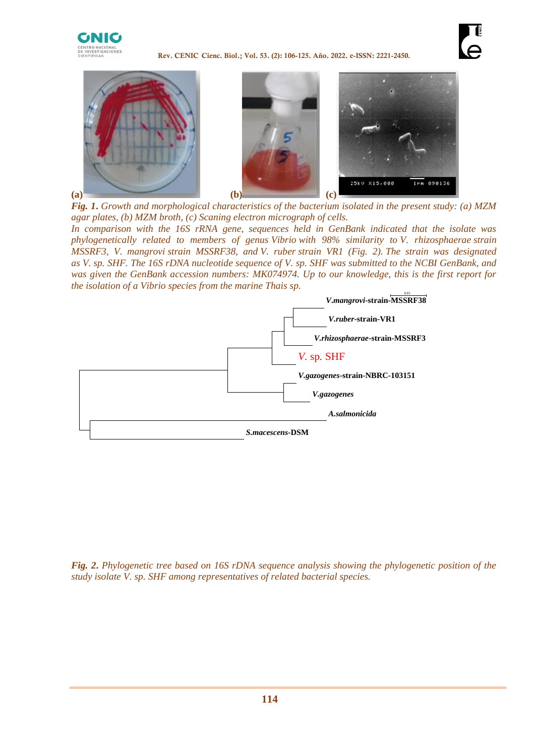

**Rev. CENIC Cienc. Biol.; Vol. 53. (2): 106-125. Año. 2022. e-ISSN: 2221-2450.**





*Fig. 1***.** *Growth and morphological characteristics of the bacterium isolated in the present study: (a) MZM agar plates, (b) MZM broth, (c) Scaning electron micrograph of cells.*

*In comparison with the 16S rRNA gene, sequences held in GenBank indicated that the isolate was phylogenetically related to members of genus Vibrio with 98% similarity to V. rhizosphaerae strain MSSRF3, V. mangrovi strain MSSRF38, and V. ruber strain VR1 (Fig. 2). The strain was designated as V. sp. SHF. The 16S rDNA nucleotide sequence of V. sp. SHF was submitted to the NCBI GenBank, and was given the GenBank accession numbers: MK074974. Up to our knowledge, this is the first report for the isolation of a Vibrio species from the marine Thais sp.* 



*Fig. 2***.** *Phylogenetic tree based on 16S rDNA sequence analysis showing the phylogenetic position of the study isolate V. sp. SHF among representatives of related bacterial species.*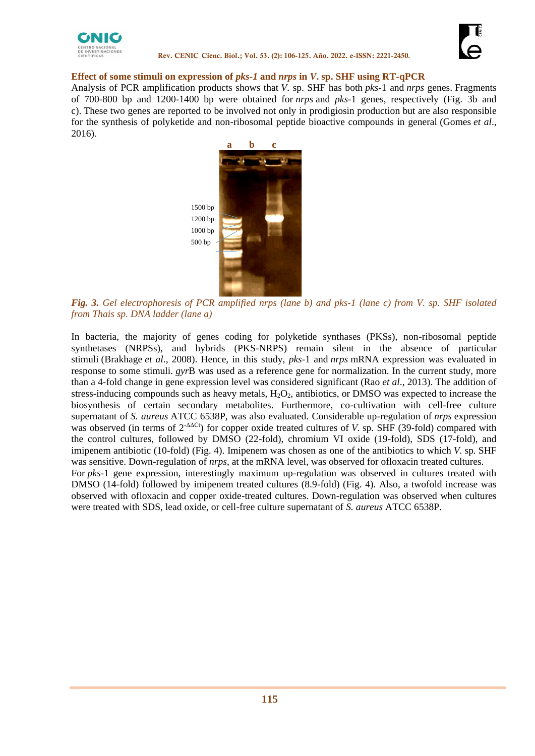



#### **Effect of some stimuli on expression of** *pks-1* **and** *nrps* **in** *V***. sp. SHF using RT-qPCR**

Analysis of PCR amplification products shows that *V*. sp. SHF has both *pks*-1 and *nrps* genes. Fragments of 700-800 bp and 1200-1400 bp were obtained for *nrps* and *pks*-1 genes, respectively (Fig. 3b and c). These two genes are reported to be involved not only in prodigiosin production but are also responsible for the synthesis of polyketide and non-ribosomal peptide bioactive compounds in general (Gomes *et al*., 2016).



*Fig. 3. Gel electrophoresis of PCR amplified nrps (lane b) and pks-1 (lane c) from V. sp. SHF isolated from Thais sp. DNA ladder (lane a)*

In bacteria, the majority of genes coding for polyketide synthases (PKSs), non-ribosomal peptide synthetases (NRPSs), and hybrids (PKS-NRPS) remain silent in the absence of particular stimuli [\(Brakhage](http://www.sciencedirect.com/science/article/pii/S1074552110004849#bib7) *et al*., 2008). Hence, in this study, *pks*-1 and *nrps* mRNA expression was evaluated in response to some stimuli. *gyr*B was used as a reference gene for normalization. In the current study, more than a 4-fold change in gene expression level was considered significant (Rao *et al*., 2013). The addition of stress-inducing compounds such as heavy metals,  $H_2O_2$ , antibiotics, or DMSO was expected to increase the biosynthesis of certain secondary metabolites. Furthermore, co-cultivation with cell-free culture supernatant of *S. aureus* ATCC 6538P, was also evaluated. Considerable up-regulation of *nrps* expression was observed (in terms of 2-ΔΔCt) for copper oxide treated cultures of *V.* sp. SHF (39-fold) compared with the control cultures, followed by DMSO (22-fold), chromium VI oxide (19-fold), SDS (17-fold), and imipenem antibiotic (10-fold) (Fig. 4). Imipenem was chosen as one of the antibiotics to which *V.* sp*.* SHF was sensitive. Down-regulation of *nrps*, at the mRNA level, was observed for ofloxacin treated cultures. For *pks*-1 gene expression, interestingly maximum up-regulation was observed in cultures treated with DMSO (14-fold) followed by imipenem treated cultures (8.9-fold) (Fig. 4). Also, a twofold increase was observed with ofloxacin and copper oxide-treated cultures. Down-regulation was observed when cultures were treated with SDS, lead oxide, or cell-free culture supernatant of *S. aureus* ATCC 6538P.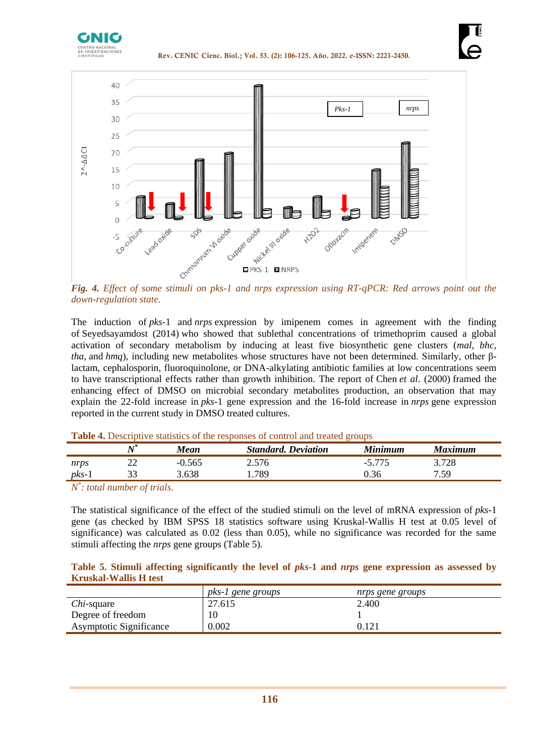



*Fig. 4. Effect of some stimuli on pks-1 and nrps expression using RT-qPCR: Red arrows point out the down-regulation state.*

The induction of *pks*-1 and *nrps* expression by imipenem comes in agreement with the finding of Seyedsayamdost (2014) who showed that sublethal concentrations of trimethoprim caused a global activation of secondary metabolism by inducing at least five biosynthetic gene clusters (*mal, bhc, tha,* and *hmq*), including new metabolites whose structures have not been determined. Similarly, other βlactam, cephalosporin, fluoroquinolone, or DNA-alkylating antibiotic families at low concentrations seem to have transcriptional effects rather than growth inhibition. The report of Chen *et al*. (2000) framed the enhancing effect of DMSO on microbial secondary metabolites production, an observation that may explain the 22-fold increase in *pks*-1 gene expression and the 16-fold increase in *nrps* gene expression reported in the current study in DMSO treated cultures.

|         |    | Mean  | <b>Standard. Deviation</b> | <b>Minimum</b> | <b>Maximum</b> |  |
|---------|----|-------|----------------------------|----------------|----------------|--|
| nrps    | ∠∠ | 0.565 | 2.576                      |                | 3.728          |  |
| $pks-1$ |    | .638  | 789                        |                | 7 59           |  |

### **Table 4.** Descriptive statistics of the responses of control and treated groups

*N \* : total number of trials.*

The statistical significance of the effect of the studied stimuli on the level of mRNA expression of *pks*-1 gene (as checked by IBM SPSS 18 statistics software using Kruskal-Wallis H test at 0.05 level of significance) was calculated as 0.02 (less than 0.05), while no significance was recorded for the same stimuli affecting the *nrps* gene groups (Table 5).

### **Table 5. Stimuli affecting significantly the level of** *pks***-1 and** *nrps* **gene expression as assessed by Kruskal-Wallis H test**

|                                | pks-1 gene groups | nrps gene groups |
|--------------------------------|-------------------|------------------|
| <i>Chi</i> -square             | 27.615            | 2.400            |
| Degree of freedom              |                   |                  |
| <b>Asymptotic Significance</b> | 0.002             |                  |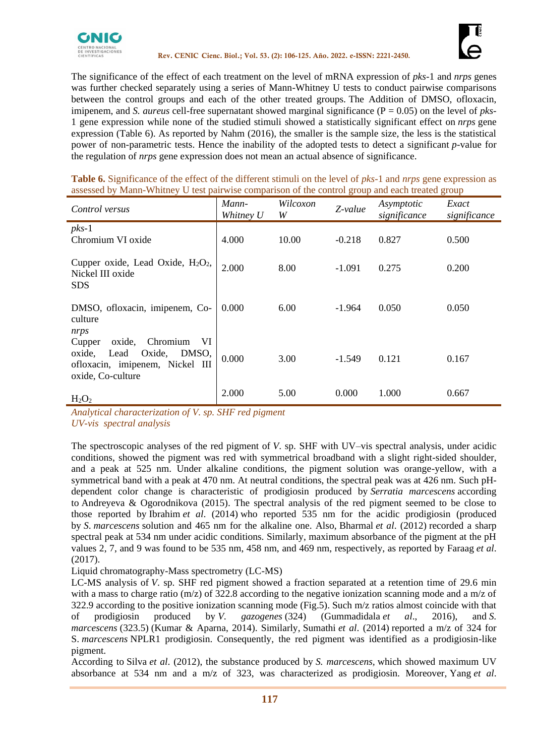



The significance of the effect of each treatment on the level of mRNA expression of *pks*-1 and *nrps* genes was further checked separately using a series of Mann-Whitney U tests to conduct pairwise comparisons between the control groups and each of the other treated groups. The Addition of DMSO, ofloxacin, imipenem, and *S. aureus* cell-free supernatant showed marginal significance (P = 0.05) on the level of *pks*-1 gene expression while none of the studied stimuli showed a statistically significant effect on *nrps* gene expression (Table 6). As reported by Nahm (2016), the smaller is the sample size, the less is the statistical power of non-parametric tests. Hence the inability of the adopted tests to detect a significant *p*-value for the regulation of *nrps* gene expression does not mean an actual absence of significance.

**Table 6.** Significance of the effect of the different stimuli on the level of *pks*-1 and *nrps* gene expression as assessed by Mann-Whitney U test pairwise comparison of the control group and each treated group

| Control versus                                                                                                                  | Mann-<br>Whitney U | Wilcoxon<br>W | Z-value  | Asymptotic<br>significance | Exact<br>significance |
|---------------------------------------------------------------------------------------------------------------------------------|--------------------|---------------|----------|----------------------------|-----------------------|
| $pks-1$<br>Chromium VI oxide                                                                                                    | 4.000              | 10.00         | $-0.218$ | 0.827                      | 0.500                 |
| Cupper oxide, Lead Oxide, $H_2O_2$ ,<br>Nickel III oxide<br><b>SDS</b>                                                          | 2.000              | 8.00          | $-1.091$ | 0.275                      | 0.200                 |
| DMSO, ofloxacin, imipenem, Co-<br>culture<br>nrps                                                                               | 0.000              | 6.00          | $-1.964$ | 0.050                      | 0.050                 |
| VI<br>oxide,<br>Chromium<br>Cupper<br>DMSO,<br>oxide,<br>Oxide,<br>Lead<br>ofloxacin, imipenem, Nickel III<br>oxide, Co-culture | 0.000              | 3.00          | $-1.549$ | 0.121                      | 0.167                 |
| $H_2O_2$                                                                                                                        | 2.000              | 5.00          | 0.000    | 1.000                      | 0.667                 |

*Analytical characterization of V. sp. SHF red pigment UV-vis spectral analysis* 

The spectroscopic analyses of the red pigment of *V*. sp. SHF with UV–vis spectral analysis, under acidic conditions, showed the pigment was red with symmetrical broadband with a slight right-sided shoulder, and a peak at 525 nm. Under alkaline conditions, the pigment solution was orange-yellow, with a symmetrical band with a peak at 470 nm. At neutral conditions, the spectral peak was at 426 nm. Such pHdependent color change is characteristic of prodigiosin produced by *Serratia marcescens* according to Andreyeva & Ogorodnikova (2015). The spectral analysis of the red pigment seemed to be close to those reported by Ibrahim *et al*. (2014) who reported 535 nm for the acidic prodigiosin (produced by *S*. *marcescens* solution and 465 nm for the alkaline one. Also, Bharmal *et al*. (2012) recorded a sharp spectral peak at 534 nm under acidic conditions. Similarly, maximum absorbance of the pigment at the pH values 2, 7, and 9 was found to be 535 nm, 458 nm, and 469 nm, respectively, as reported by Faraag *et al*. (2017).

Liquid chromatography-Mass spectrometry (LC-MS)

LC-MS analysis of *V*. sp. SHF red pigment showed a fraction separated at a retention time of 29.6 min with a mass to charge ratio (m/z) of 322.8 according to the negative ionization scanning mode and a m/z of 322.9 according to the positive ionization scanning mode (Fig.5). Such m/z ratios almost coincide with that of prodigiosin produced by *V. gazogenes* (324) (Gummadidala *et al*., 2016), and *S. marcescens* (323.5) (Kumar & Aparna, 2014). Similarly, Sumathi *et al*. (2014) reported a m/z of 324 for S. *marcescens* NPLR1 prodigiosin. Consequently, the red pigment was identified as a prodigiosin-like pigment.

According to Silva *et al*. (2012), the substance produced by *S. marcescens,* which showed maximum UV absorbance at 534 nm and a m/z of 323, was characterized as prodigiosin. Moreover, Yang *et al*.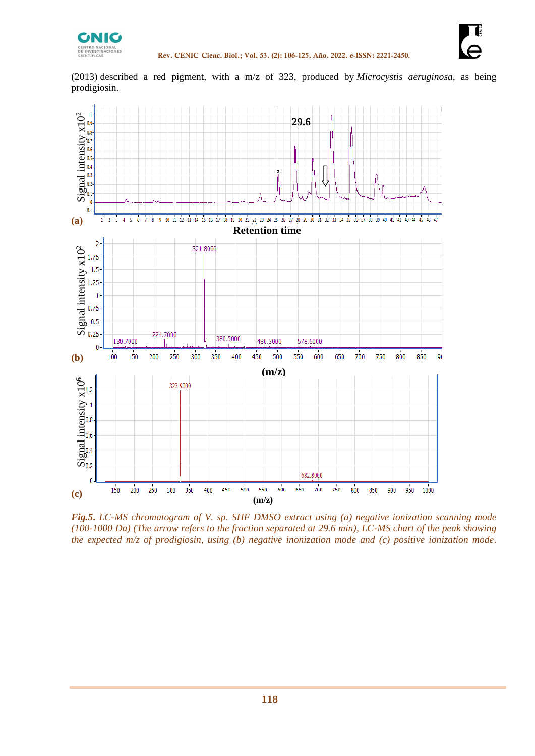

(2013) described a red pigment, with a m/z of 323, produced by *Microcystis aeruginosa*, as being prodigiosin.



*Fig.5***.** *LC-MS chromatogram of V. sp. SHF DMSO extract using (a) negative ionization scanning mode (100-1000 Da) (The arrow refers to the fraction separated at 29.6 min), LC-MS chart of the peak showing*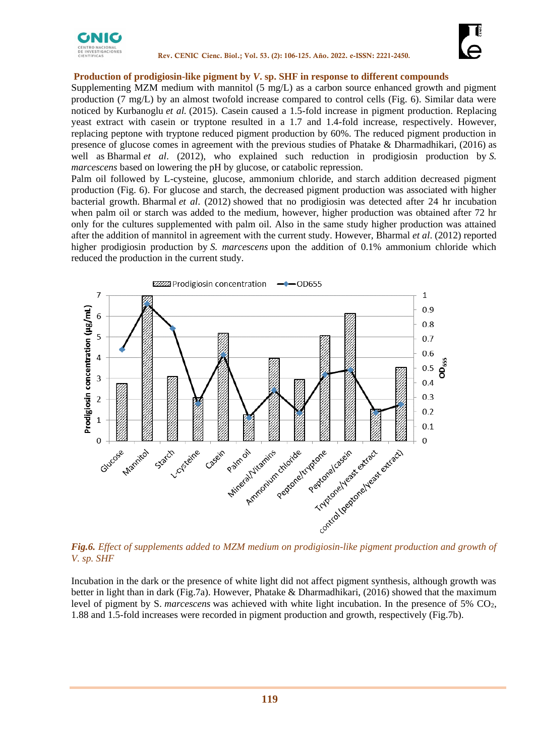



#### **Production of prodigiosin-like pigment by** *V***. sp. SHF in response to different compounds**

Supplementing MZM medium with mannitol (5 mg/L) as a carbon source enhanced growth and pigment production (7 mg/L) by an almost twofold increase compared to control cells (Fig. 6). Similar data were noticed by Kurbanoglu *et al.* (2015). Casein caused a 1.5-fold increase in pigment production. Replacing yeast extract with casein or tryptone resulted in a 1.7 and 1.4-fold increase, respectively. However, replacing peptone with tryptone reduced pigment production by 60%. The reduced pigment production in presence of glucose comes in agreement with the previous studies of Phatake & Dharmadhikari, (2016) as well as Bharmal *et al*. (2012), who explained such reduction in prodigiosin production by *S. marcescens* based on lowering the pH by glucose, or catabolic repression.

Palm oil followed by L-cysteine, glucose, ammonium chloride, and starch addition decreased pigment production (Fig. 6). For glucose and starch, the decreased pigment production was associated with higher bacterial growth. Bharmal *et al*. (2012) showed that no prodigiosin was detected after 24 hr incubation when palm oil or starch was added to the medium, however, higher production was obtained after 72 hr only for the cultures supplemented with palm oil. Also in the same study higher production was attained after the addition of mannitol in agreement with the current study. However, Bharmal *et al*. (2012) reported higher prodigiosin production by *S. marcescens* upon the addition of 0.1% ammonium chloride which reduced the production in the current study.



*Fig.6. Effect of supplements added to MZM medium on prodigiosin-like pigment production and growth of V. sp. SHF* 

Incubation in the dark or the presence of white light did not affect pigment synthesis, although growth was better in light than in dark (Fig.7a). However, Phatake & Dharmadhikari, (2016) showed that the maximum level of pigment by S. *marcescens* was achieved with white light incubation. In the presence of 5% CO<sub>2</sub>, 1.88 and 1.5-fold increases were recorded in pigment production and growth, respectively (Fig.7b).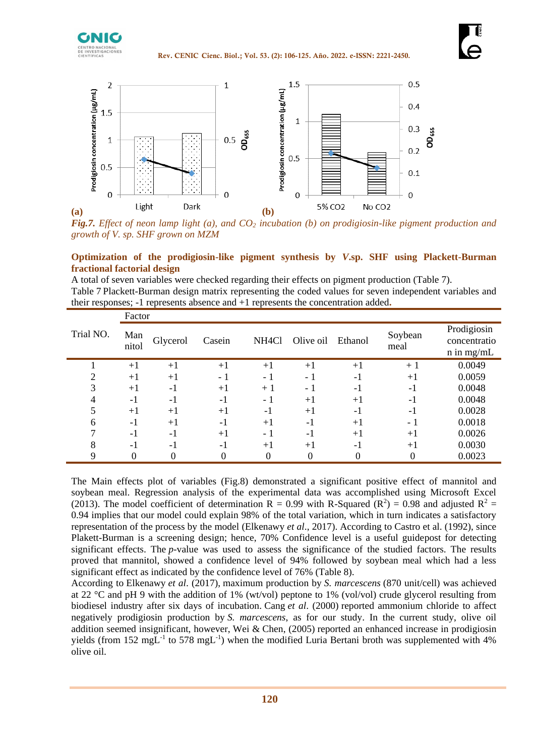



*Fig.7. Effect of neon lamp light (a), and CO<sup>2</sup> incubation (b) on prodigiosin-like pigment production and growth of V. sp. SHF grown on MZM*

### **Optimization of the prodigiosin-like pigment synthesis by** *V***.sp. SHF using Plackett-Burman fractional factorial design**

A total of seven variables were checked regarding their effects on pigment production (Table 7). Table 7 Plackett-Burman design matrix representing the coded values for seven independent variables and their responses; -1 represents absence and +1 represents the concentration added**.**

|           | Factor       |          |        |                    |           |         |                 |                                             |
|-----------|--------------|----------|--------|--------------------|-----------|---------|-----------------|---------------------------------------------|
| Trial NO. | Man<br>nitol | Glycerol | Casein | NH <sub>4</sub> Cl | Olive oil | Ethanol | Soybean<br>meal | Prodigiosin<br>concentratio<br>$n$ in mg/mL |
|           | $+1$         | $+1$     | $+1$   | $+1$               | $+1$      | $+1$    | $+1$            | 0.0049                                      |
| ി         | $+1$         | $+1$     | - 1    | - 1                | - 1       | $-1$    | $+1$            | 0.0059                                      |
| 3         | $+1$         | $-1$     | $+1$   | $+1$               | - 1       | $-1$    | $-1$            | 0.0048                                      |
| 4         | $-1$         | $-1$     | $-1$   | - 1                | $+1$      | $+1$    | $-1$            | 0.0048                                      |
| 5         | $+1$         | $+1$     | $+1$   | -1                 | $+1$      | - 1     | $-1$            | 0.0028                                      |
| 6         | $-1$         | $+1$     | $-1$   | $+1$               | $-1$      | $+1$    | - 1             | 0.0018                                      |
|           | $-1$         | $-1$     | $+1$   | - 1                | $-1$      | $+1$    | $+1$            | 0.0026                                      |
| 8         | $-1$         | $-1$     | $-1$   | $+1$               | $+1$      | $-1$    | $+1$            | 0.0030                                      |
| 9         |              | 0        | 0      | 0                  |           | 0       |                 | 0.0023                                      |

The Main effects plot of variables (Fig.8) demonstrated a significant positive effect of mannitol and soybean meal. Regression analysis of the experimental data was accomplished using Microsoft Excel (2013). The model coefficient of determination R = 0.99 with R-Squared ( $\mathbb{R}^2$ ) = 0.98 and adjusted  $\mathbb{R}^2$  = 0.94 implies that our model could explain 98% of the total variation, which in turn indicates a satisfactory representation of the process by the model (Elkenawy *et al*., 2017). According to Castro et al. (1992), since Plakett-Burman is a screening design; hence, 70% Confidence level is a useful guidepost for detecting significant effects. The *p*-value was used to assess the significance of the studied factors. The results proved that mannitol, showed a confidence level of 94% followed by soybean meal which had a less significant effect as indicated by the confidence level of 76% (Table 8).

According to Elkenawy *et al*. (2017), maximum production by *S. marcescens* (870 unit/cell) was achieved at 22 °C and pH 9 with the addition of 1% (wt/vol) peptone to 1% (vol/vol) crude glycerol resulting from biodiesel industry after six days of incubation. Cang *et al*. (2000) reported ammonium chloride to affect negatively prodigiosin production by *S. marcescens*, as for our study. In the current study, olive oil addition seemed insignificant, however, Wei & Chen, (2005) reported an enhanced increase in prodigiosin yields (from 152 mgL<sup>-1</sup> to 578 mgL<sup>-1</sup>) when the modified Luria Bertani broth was supplemented with 4% olive oil.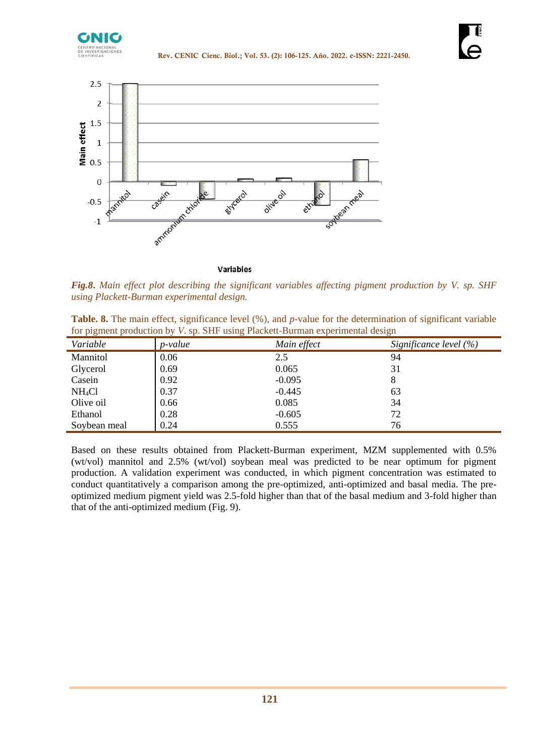



**Variables** 

*Fig.8***.** *Main effect plot describing the significant variables affecting pigment production by V. sp. SHF using Plackett-Burman experimental design.*

**Table. 8.** The main effect, significance level (%), and *p*-value for the determination of significant variable for pigment production by *V*. sp. SHF using Plackett-Burman experimental design

| Variable           | <i>p</i> -value | Main effect | Significance level $(\% )$ |
|--------------------|-----------------|-------------|----------------------------|
| Mannitol           | 0.06            | 2.5         | 94                         |
| Glycerol           | 0.69            | 0.065       | 31                         |
| Casein             | 0.92            | $-0.095$    | 8                          |
| NH <sub>4</sub> Cl | 0.37            | $-0.445$    | 63                         |
| Olive oil          | 0.66            | 0.085       | 34                         |
| Ethanol            | 0.28            | $-0.605$    | 72                         |
| Soybean meal       | 0.24            | 0.555       | 76                         |

Based on these results obtained from Plackett-Burman experiment, MZM supplemented with 0.5% (wt/vol) mannitol and 2.5% (wt/vol) soybean meal was predicted to be near optimum for pigment production. A validation experiment was conducted, in which pigment concentration was estimated to conduct quantitatively a comparison among the pre-optimized, anti-optimized and basal media. The preoptimized medium pigment yield was 2.5-fold higher than that of the basal medium and 3-fold higher than that of the anti-optimized medium (Fig. 9).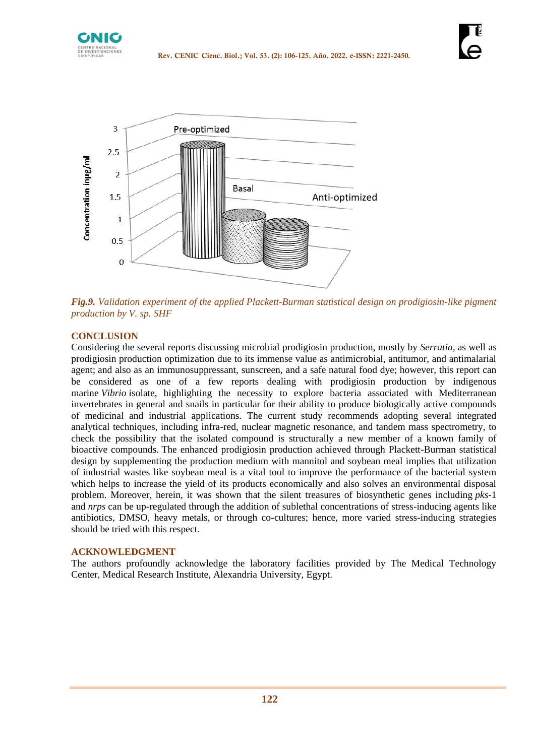



*Fig.9. Validation experiment of the applied Plackett-Burman statistical design on prodigiosin-like pigment production by V. sp. SHF*

## **CONCLUSION**

Considering the several reports discussing microbial prodigiosin production, mostly by *Serratia,* as well as prodigiosin production optimization due to its immense value as antimicrobial, antitumor, and antimalarial agent; and also as an immunosuppressant, sunscreen, and a safe natural food dye; however, this report can be considered as one of a few reports dealing with prodigiosin production by indigenous marine *Vibrio* isolate, highlighting the necessity to explore bacteria associated with Mediterranean invertebrates in general and snails in particular for their ability to produce biologically active compounds of medicinal and industrial applications. The current study recommends adopting several integrated analytical techniques, including infra-red, nuclear magnetic resonance, and tandem mass spectrometry, to check the possibility that the isolated compound is structurally a new member of a known family of bioactive compounds. The enhanced prodigiosin production achieved through Plackett-Burman statistical design by supplementing the production medium with mannitol and soybean meal implies that utilization of industrial wastes like soybean meal is a vital tool to improve the performance of the bacterial system which helps to increase the yield of its products economically and also solves an environmental disposal problem. Moreover, herein, it was shown that the silent treasures of biosynthetic genes including *pks*-1 and *nrps* can be up-regulated through the addition of sublethal concentrations of stress-inducing agents like antibiotics, DMSO, heavy metals, or through co-cultures; hence, more varied stress-inducing strategies should be tried with this respect.

## **ACKNOWLEDGMENT**

The authors profoundly acknowledge the laboratory facilities provided by The Medical Technology Center, Medical Research Institute, Alexandria University, Egypt.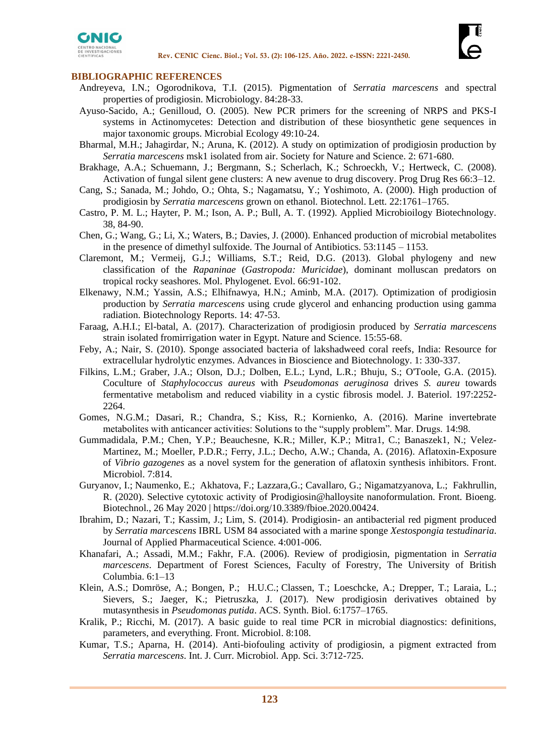



#### **BIBLIOGRAPHIC REFERENCES**

- Andreyeva, I.N.; Ogorodnikova, T.I. (2015). Pigmentation of *Serratia marcescens* and spectral properties of prodigiosin. Microbiology. 84:28-33.
- Ayuso-Sacido, A.; Genilloud, O. (2005). New PCR primers for the screening of NRPS and PKS-I systems in Actinomycetes: Detection and distribution of these biosynthetic gene sequences in major taxonomic groups. Microbial Ecology 49:10-24.
- Bharmal, M.H.; Jahagirdar, N.; Aruna, K. (2012). A study on optimization of prodigiosin production by *Serratia marcescens* msk1 isolated from air. Society for Nature and Science. 2: 671-680.
- [Brakhage, A.A.](https://www.ncbi.nlm.nih.gov/pubmed/?term=Brakhage%20AA%5BAuthor%5D&cauthor=true&cauthor_uid=18416304); [Schuemann, J.](https://www.ncbi.nlm.nih.gov/pubmed/?term=Schuemann%20J%5BAuthor%5D&cauthor=true&cauthor_uid=18416304); [Bergmann, S.](https://www.ncbi.nlm.nih.gov/pubmed/?term=Bergmann%20S%5BAuthor%5D&cauthor=true&cauthor_uid=18416304); [Scherlach, K.](https://www.ncbi.nlm.nih.gov/pubmed/?term=Scherlach%20K%5BAuthor%5D&cauthor=true&cauthor_uid=18416304); [Schroeckh, V.](https://www.ncbi.nlm.nih.gov/pubmed/?term=Schroeckh%20V%5BAuthor%5D&cauthor=true&cauthor_uid=18416304); [Hertweck, C.](https://www.ncbi.nlm.nih.gov/pubmed/?term=Hertweck%20C%5BAuthor%5D&cauthor=true&cauthor_uid=18416304) (2008). Activation of fungal silent gene clusters: A new avenue to drug discovery. Prog Drug Res 66:3–12.
- Cang, S.; Sanada, M.; Johdo, O.; Ohta, S.; Nagamatsu, Y.; Yoshimoto, A. (2000). High production of prodigiosin by *Serratia marcescens* grown on ethanol. Biotechnol. Lett. 22:1761–1765.
- Castro, P. M. L.; Hayter, P. M.; Ison, A. P.; Bull, A. T. (1992). Applied Microbioilogy Biotechnology. 38, 84-90.
- Chen, G.; Wang, G.; Li, X.; Waters, B.; Davies, J. (2000). Enhanced production of microbial metabolites in the presence of dimethyl sulfoxide. The Journal of Antibiotics. 53:1145 – 1153.
- [Claremont, M.](https://www.ncbi.nlm.nih.gov/pubmed/?term=Claremont%20M%5BAuthor%5D&cauthor=true&cauthor_uid=23026810); [Vermeij, G.J.](https://www.ncbi.nlm.nih.gov/pubmed/?term=Vermeij%20GJ%5BAuthor%5D&cauthor=true&cauthor_uid=23026810); [Williams, S.T.](https://www.ncbi.nlm.nih.gov/pubmed/?term=Williams%20ST%5BAuthor%5D&cauthor=true&cauthor_uid=23026810); [Reid, D.G.](https://www.ncbi.nlm.nih.gov/pubmed/?term=Reid%20DG%5BAuthor%5D&cauthor=true&cauthor_uid=23026810) (2013). Global phylogeny and new classification of the *Rapaninae* (*Gastropoda: Muricidae*), dominant molluscan predators on tropical rocky seashores. [Mol. Phylogenet. Evol.](https://www.ncbi.nlm.nih.gov/pubmed/23026810) 66:91-102.
- [Elkenawy,](http://www.sciencedirect.com/science/article/pii/S2215017X16300522#!) N.M.; [Yassin, A.S.; Elhifnawya,](http://www.sciencedirect.com/science/article/pii/S2215017X16300522#!) H.N.; [Aminb,](http://www.sciencedirect.com/science/article/pii/S2215017X16300522#!) M.A. (2017). Optimization of prodigiosin production by *Serratia marcescens* using crude glycerol and enhancing production using gamma radiation. [Biotechnology Reports.](http://www.sciencedirect.com/science/journal/2215017X) [14:](http://www.sciencedirect.com/science/journal/2215017X/14/supp/C) 47-53.
- Faraag, A.H.I.; El-batal, A. (2017). Characterization of prodigiosin produced by *Serratia marcescens* strain isolated fromirrigation water in Egypt. Nature and Science. 15:55-68.
- Feby, A.; Nair, S. (2010). Sponge associated bacteria of lakshadweed coral reefs, India: Resource for extracellular hydrolytic enzymes. Advances in Bioscience and Biotechnology. 1: 330-337.
- [Filkins,](http://jb.asm.org/search?author1=Laura+M.+Filkins&sortspec=date&submit=Submit) L.M.; [Graber,](http://jb.asm.org/search?author1=Jyoti+A.+Graber&sortspec=date&submit=Submit) J.A.; [Olson,](http://jb.asm.org/search?author1=Daniel+G.+Olson&sortspec=date&submit=Submit) D.J.; [Dolben,](http://jb.asm.org/search?author1=Emily+L.+Dolben&sortspec=date&submit=Submit) E.L.; [Lynd,](http://jb.asm.org/search?author1=Lee+R.+Lynd&sortspec=date&submit=Submit) L.R.; [Bhuju,](http://jb.asm.org/search?author1=Sabin+Bhuju&sortspec=date&submit=Submit) S.; [O'Toole,](http://jb.asm.org/search?author1=George+A.+O%27Toole&sortspec=date&submit=Submit) G.A. (2015). Coculture of *Staphylococcus aureus* with *Pseudomonas aeruginosa* drives *S. aureu* towards fermentative metabolism and reduced viability in a cystic fibrosis model. J. Bateriol. 197:2252- 2264.
- Gomes, N.G.M.; Dasari, R.; Chandra, S.; Kiss, R.; Kornienko, A. (2016). Marine invertebrate metabolites with anticancer activities: Solutions to the "supply problem". Mar. Drugs. 14:98.
- Gummadidala, P.M.; Chen, Y.P.; Beauchesne, K.R.; [Miller,](http://frontiersin.org/people/u/341689) K.P.; [Mitra1](http://frontiersin.org/people/u/324360), C.; Banaszek1, N.; Velez-Martinez, M.; Moeller, P.D.R.; [Ferry,](http://frontiersin.org/people/u/89273) J.L.; [Decho,](http://frontiersin.org/people/u/65151) A.W.; [Chanda,](http://frontiersin.org/people/u/257179) A. (2016). Aflatoxin-Exposure of *Vibrio gazogenes* as a novel system for the generation of aflatoxin synthesis inhibitors. Front. Microbiol. 7:814.
- Guryanov, I.; [Naumenko,](https://www.frontiersin.org/people/u/915581) E.; Akhatova, F.; Lazzara,G.; Cavallaro, G.; Nigamatzyanova, L.; [Fakhrullin,](https://www.frontiersin.org/people/u/473745) R. (2020). Selective cytotoxic activity of Prodigiosin@halloysite nanoformulation. Front. Bioeng. Biotechnol., 26 May 2020 | [https://doi.org/10.3389/fbioe.2020.00424.](https://doi.org/10.3389/fbioe.2020.00424)
- Ibrahim, D.; Nazari, T.; Kassim, J.; Lim, S. (2014). Prodigiosin- an antibacterial red pigment produced by *Serratia marcescens* IBRL USM 84 associated with a marine sponge *Xestospongia testudinaria*. Journal of Applied Pharmaceutical Science. 4:001-006.
- Khanafari, A.; Assadi, M.M.; Fakhr, F.A. (2006). Review of prodigiosin, pigmentation in *Serratia marcescens*. Department of Forest Sciences, Faculty of Forestry, The University of British Columbia. 6:1–13
- [Klein,](https://pubs.acs.org/author/Klein%2C+Andreas+S) A.S.; [Domröse,](https://pubs.acs.org/author/Domr%C3%B6se%2C+Andreas) A.; [Bongen,](https://pubs.acs.org/author/Bongen%2C+Patrick) P.; H.U.C.; [Classen,](https://pubs.acs.org/author/Classen%2C+Thomas) T.; [Loeschcke,](https://pubs.acs.org/author/Loeschcke%2C+Anita) A.; [Drepper,](https://pubs.acs.org/author/Drepper%2C+Thomas) T.; [Laraia,](https://pubs.acs.org/author/Laraia%2C+Luca) L.; [Sievers,](https://pubs.acs.org/author/Sievers%2C+Sonja) S.; [Jaeger,](https://pubs.acs.org/author/Jaeger%2C+Karl-Erich) K.; [Pietruszka,](https://pubs.acs.org/author/Pietruszka%2C+J%C3%B6rg) J. (2017). New prodigiosin derivatives obtained by mutasynthesis in *Pseudomonas putida*. ACS. Synth. Biol. 6:1757–1765.
- [Kralik,](https://www.ncbi.nlm.nih.gov/pubmed/?term=Kralik%20P%5BAuthor%5D&cauthor=true&cauthor_uid=28210243) P.; [Ricchi,](https://www.ncbi.nlm.nih.gov/pubmed/?term=Ricchi%20M%5BAuthor%5D&cauthor=true&cauthor_uid=28210243) M. (2017). A basic guide to real time PCR in microbial diagnostics: definitions, parameters, and everything. [Front. Microbiol.](https://www.ncbi.nlm.nih.gov/pmc/articles/PMC5288344/) 8:108.
- Kumar, T.S.; Aparna, H. (2014). Anti-biofouling activity of prodigiosin, a pigment extracted from *Serratia marcescens*. Int. J. Curr. Microbiol. App. Sci. 3:712-725.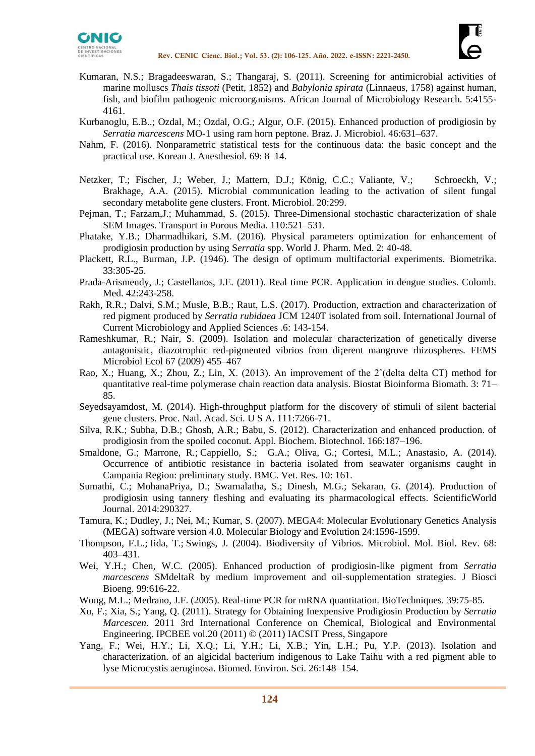



- Kumaran, N.S.; Bragadeeswaran, S.; Thangaraj, S. (2011). Screening for antimicrobial activities of marine molluscs *Thais tissoti* (Petit, 1852) and *Babylonia spirata* (Linnaeus, 1758) against human, fish, and biofilm pathogenic microorganisms. African Journal of Microbiology Research. 5:4155- 4161.
- [Kurbanoglu,](https://www.ncbi.nlm.nih.gov/pubmed/?term=Kurbanoglu%20EB%5BAuthor%5D&cauthor=true&cauthor_uid=26273284) E.B..; [Ozdal,](https://www.ncbi.nlm.nih.gov/pubmed/?term=Ozdal%20M%5BAuthor%5D&cauthor=true&cauthor_uid=26273284) M.; [Ozdal,](https://www.ncbi.nlm.nih.gov/pubmed/?term=Ozdal%20OG%5BAuthor%5D&cauthor=true&cauthor_uid=26273284) O.G.; [Algur,](https://www.ncbi.nlm.nih.gov/pubmed/?term=Algur%20OF%5BAuthor%5D&cauthor=true&cauthor_uid=26273284) O.F. (2015). Enhanced production of prodigiosin by *Serratia marcescens* MO-1 using ram horn peptone. [Braz. J. Microbiol.](https://www.ncbi.nlm.nih.gov/pmc/articles/PMC4507561/) 46:631–637.
- [Nahm,](https://www.ncbi.nlm.nih.gov/pubmed/?term=Nahm%20FS%5BAuthor%5D&cauthor=true&cauthor_uid=26885295) F. (2016). Nonparametric statistical tests for the continuous data: the basic concept and the practical use. [Korean J. Anesthesiol.](https://www.ncbi.nlm.nih.gov/pmc/articles/PMC4754273/) 69: 8–14.
- [Netzker,](http://community.frontiersin.org/people/u/202267) T.; [Fischer,](http://community.frontiersin.org/people/u/202364) J.; [Weber,](http://community.frontiersin.org/people/u/226801) J.; [Mattern,](http://community.frontiersin.org/people/u/202213) D.J.; König, C.C.; [Valiante,](http://community.frontiersin.org/people/u/45856) V.; [Schroeckh,](http://community.frontiersin.org/people/u/194915) V.; [Brakhage,](http://community.frontiersin.org/people/u/17461) A.A. (2015). Microbial communication leading to the activation of silent fungal secondary metabolite gene clusters. Front. Microbiol. 20:299.
- Pejman, T.; Farzam,J.; Muhammad, S. (2015). [Three-Dimensional stochastic characterization of shale](http://link.springer.com/article/10.1007/s11242-015-0570-1)  [SEM Images.](http://link.springer.com/article/10.1007/s11242-015-0570-1) Transport in Porous Media. 110:521–531.
- Phatake, Y.B.; Dharmadhikari, S.M. (2016). Physical parameters optimization for enhancement of prodigiosin production by using S*erratia* spp. World J. Pharm. Med. 2: 40-48.
- Plackett, R.L., Burman, J.P*.* (1946). The design of optimum multifactorial experiments. Biometrika. 33:305-25.
- Prada-Arismendy, J.; Castellanos, J.E. (2011). Real time PCR. Application in dengue studies. Colomb. Med. 42:243-258.
- Rakh, R.R.; Dalvi, S.M.; Musle, B.B.; Raut, L.S. (2017). Production, extraction and characterization of red pigment produced by *Serratia rubidaea* JCM 1240T isolated from soil. International Journal of Current Microbiology and Applied Sciences .6: 143-154.
- Rameshkumar, R.; Nair, S. (2009). Isolation and molecular characterization of genetically diverse antagonistic, diazotrophic red-pigmented vibrios from di¡erent mangrove rhizospheres. FEMS Microbiol Ecol 67 (2009) 455–467
- [Rao,](https://www.ncbi.nlm.nih.gov/pubmed/?term=Rao%20X%5BAuthor%5D&cauthor=true&cauthor_uid=25558171) X.; [Huang,](https://www.ncbi.nlm.nih.gov/pubmed/?term=Huang%20X%5BAuthor%5D&cauthor=true&cauthor_uid=25558171) X.; [Zhou,](https://www.ncbi.nlm.nih.gov/pubmed/?term=Zhou%20Z%5BAuthor%5D&cauthor=true&cauthor_uid=25558171) Z.; [Lin,](https://www.ncbi.nlm.nih.gov/pubmed/?term=Lin%20X%5BAuthor%5D&cauthor=true&cauthor_uid=25558171) X. (2013). An improvement of the 2ˆ(delta delta CT) method for quantitative real-time polymerase chain reaction data analysis. Biostat Bioinforma Biomath. 3: 71– 85.
- [Seyedsayamdost, M.](https://www.ncbi.nlm.nih.gov/pubmed/?term=Seyedsayamdost%20MR%5BAuthor%5D&cauthor=true&cauthor_uid=24808135) (2014). High-throughput platform for the discovery of stimuli of silent bacterial gene clusters. [Proc. Natl. Acad. Sci. U S A.](https://www.ncbi.nlm.nih.gov/pubmed/24808135) 111:7266-71.
- Silva, R.K.; Subha, D.B.; Ghosh, A.R.; Babu, S. (2012). Characterization and enhanced production. of prodigiosin from the spoiled coconut. Appl. Biochem. Biotechnol. 166:187–196.
- [Smaldone,](https://www.ncbi.nlm.nih.gov/pubmed/?term=Smaldone%20G%5BAuthor%5D&cauthor=true&cauthor_uid=25027759) G.; [Marrone,](https://www.ncbi.nlm.nih.gov/pubmed/?term=Marrone%20R%5BAuthor%5D&cauthor=true&cauthor_uid=25027759) R.; [Cappiello,](https://www.ncbi.nlm.nih.gov/pubmed/?term=Cappiello%20S%5BAuthor%5D&cauthor=true&cauthor_uid=25027759) S.; G.A.; [Oliva,](https://www.ncbi.nlm.nih.gov/pubmed/?term=Oliva%20G%5BAuthor%5D&cauthor=true&cauthor_uid=25027759) G.; [Cortesi,](https://www.ncbi.nlm.nih.gov/pubmed/?term=Cortesi%20ML%5BAuthor%5D&cauthor=true&cauthor_uid=25027759) M.L.; Anastasio, A. (2014). Occurrence of antibiotic resistance in bacteria isolated from seawater organisms caught in Campania Region: preliminary study. [BMC. Vet. Res.](https://www.ncbi.nlm.nih.gov/pmc/articles/PMC4112976/) 10: 161.
- Sumathi, C.; [MohanaPriya, D.](https://www.ncbi.nlm.nih.gov/pubmed/?term=MohanaPriya%20D%5BAuthor%5D&cauthor=true&cauthor_uid=24587717); [Swarnalatha, S.](https://www.ncbi.nlm.nih.gov/pubmed/?term=Swarnalatha%20S%5BAuthor%5D&cauthor=true&cauthor_uid=24587717); [Dinesh, M.G.](https://www.ncbi.nlm.nih.gov/pubmed/?term=Dinesh%20MG%5BAuthor%5D&cauthor=true&cauthor_uid=24587717); [Sekaran, G.](https://www.ncbi.nlm.nih.gov/pubmed/?term=Sekaran%20G%5BAuthor%5D&cauthor=true&cauthor_uid=24587717) (2014). Production of prodigiosin using tannery fleshing and evaluating its pharmacological effects. [ScientificWorld](https://www.ncbi.nlm.nih.gov/pubmed/24587717)  [Journal.](https://www.ncbi.nlm.nih.gov/pubmed/24587717) 2014:290327.
- Tamura, K.; Dudley, J.; Nei, M.; Kumar, S. (2007). MEGA4: Molecular Evolutionary Genetics Analysis (MEGA) software version 4.0. Molecular Biology and Evolution 24:1596-1599.
- [Thompson,](https://www.ncbi.nlm.nih.gov/pubmed/?term=Thompson%20FL%5BAuthor%5D&cauthor=true&cauthor_uid=15353563) F.L.; [Iida,](https://www.ncbi.nlm.nih.gov/pubmed/?term=Iida%20T%5BAuthor%5D&cauthor=true&cauthor_uid=15353563) T.; [Swings,](https://www.ncbi.nlm.nih.gov/pubmed/?term=Swings%20J%5BAuthor%5D&cauthor=true&cauthor_uid=15353563) J. (2004). Biodiversity of Vibrios. [Microbiol. Mol. Biol. Rev.](https://www.ncbi.nlm.nih.gov/pmc/articles/PMC515257/) 68: 403–431.
- [Wei, Y.H.](https://www.ncbi.nlm.nih.gov/pubmed/?term=Wei%20YH%5BAuthor%5D&cauthor=true&cauthor_uid=16233840); [Chen, W.C.](https://www.ncbi.nlm.nih.gov/pubmed/?term=Chen%20WC%5BAuthor%5D&cauthor=true&cauthor_uid=16233840) (2005). Enhanced production of prodigiosin-like pigment from *Serratia marcescens* SMdeltaR by medium improvement and oil-supplementation strategies. [J Biosci](https://www.ncbi.nlm.nih.gov/pubmed/16233840)  [Bioeng.](https://www.ncbi.nlm.nih.gov/pubmed/16233840) 99:616-22.

Wong, M.L.; Medrano, J.F. (2005). Real-time PCR for mRNA quantitation. BioTechniques. 39:75-85.

- Xu, F.; Xia, S.; Yang, Q. (2011). Strategy for Obtaining Inexpensive Prodigiosin Production by *Serratia Marcescen.* 2011 3rd International Conference on Chemical, Biological and Environmental Engineering. IPCBEE vol.20 (2011) © (2011) IACSIT Press, Singapore
- Yang, F.; Wei, H.Y.; Li, X.Q.; Li, Y.H.; Li, X.B.; Yin, L.H.; Pu, Y.P. (2013). Isolation and characterization. of an algicidal bacterium indigenous to Lake Taihu with a red pigment able to lyse Microcystis aeruginosa. Biomed. Environ. Sci. 26:148–154.